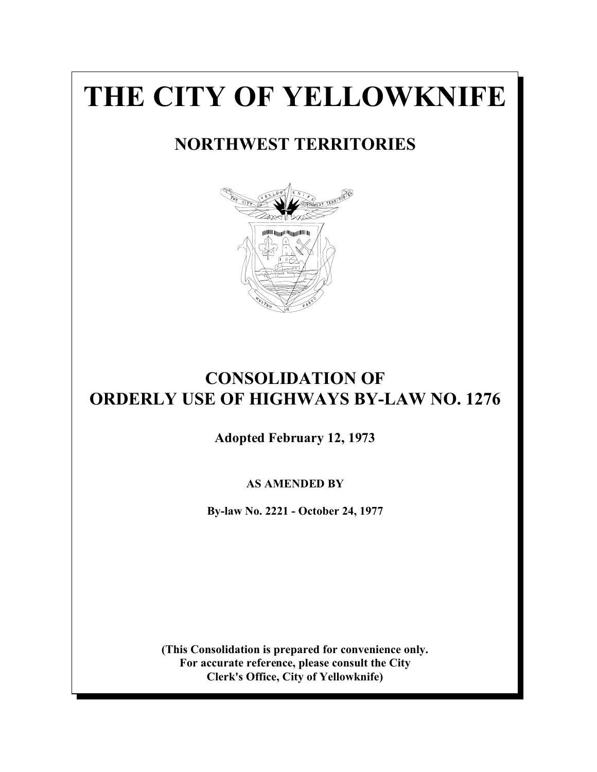# **THE CITY OF YELLOWKNIFE**

# **NORTHWEST TERRITORIES**



# **CONSOLIDATION OF ORDERLY USE OF HIGHWAYS BY-LAW NO. 1276**

**Adopted February 12, 1973**

# **AS AMENDED BY**

**By-law No. 2221 - October 24, 1977**

**(This Consolidation is prepared for convenience only. For accurate reference, please consult the City Clerk's Office, City of Yellowknife)**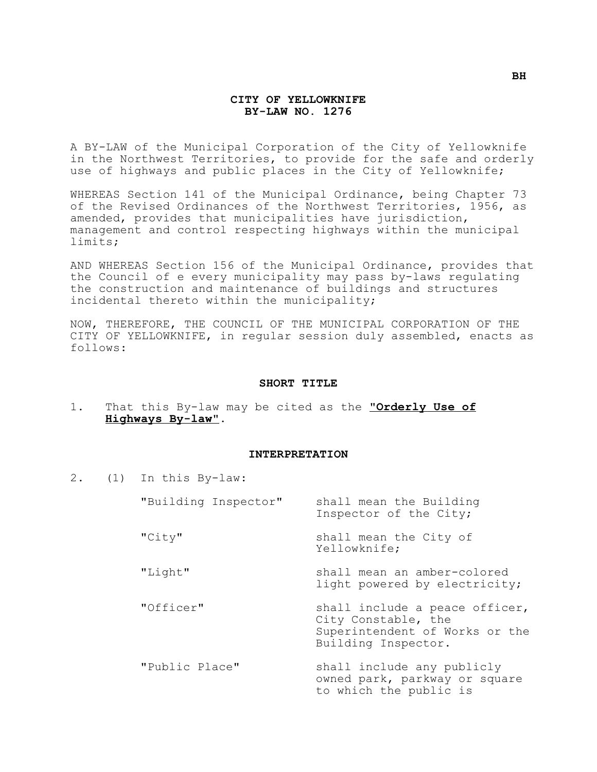#### **CITY OF YELLOWKNIFE BY-LAW NO. 1276**

A BY-LAW of the Municipal Corporation of the City of Yellowknife in the Northwest Territories, to provide for the safe and orderly use of highways and public places in the City of Yellowknife;

WHEREAS Section 141 of the Municipal Ordinance, being Chapter 73 of the Revised Ordinances of the Northwest Territories, 1956, as amended, provides that municipalities have jurisdiction, management and control respecting highways within the municipal limits;

AND WHEREAS Section 156 of the Municipal Ordinance, provides that the Council of e every municipality may pass by-laws regulating the construction and maintenance of buildings and structures incidental thereto within the municipality;

NOW, THEREFORE, THE COUNCIL OF THE MUNICIPAL CORPORATION OF THE CITY OF YELLOWKNIFE, in regular session duly assembled, enacts as follows:

#### **SHORT TITLE**

1. That this By-law may be cited as the "**Orderly Use of Highways By-law**".

#### **INTERPRETATION**

2. (1) In this By-law:

| "Building Inspector" | shall mean the Building<br>Inspector of the City;                                                              |
|----------------------|----------------------------------------------------------------------------------------------------------------|
| "City"               | shall mean the City of<br>Yellowknife;                                                                         |
| "Light"              | shall mean an amber-colored<br>light powered by electricity;                                                   |
| "Officer"            | shall include a peace officer,<br>City Constable, the<br>Superintendent of Works or the<br>Building Inspector. |
| "Public Place"       | shall include any publicly<br>owned park, parkway or square<br>to which the public is                          |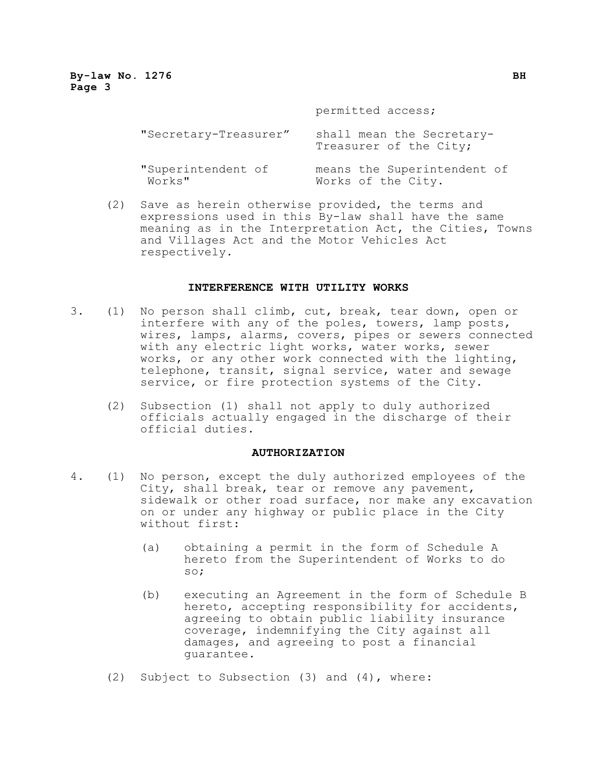permitted access;

| "Secretary-Treasurer" | shall mean the Secretary-<br>Treasurer of the City; |
|-----------------------|-----------------------------------------------------|
| "Superintendent of    | means the Superintendent of                         |
| Works"                | Works of the City.                                  |

(2) Save as herein otherwise provided, the terms and expressions used in this By-law shall have the same meaning as in the Interpretation Act, the Cities, Towns and Villages Act and the Motor Vehicles Act respectively.

#### **INTERFERENCE WITH UTILITY WORKS**

- 3. (1) No person shall climb, cut, break, tear down, open or interfere with any of the poles, towers, lamp posts, wires, lamps, alarms, covers, pipes or sewers connected with any electric light works, water works, sewer works, or any other work connected with the lighting, telephone, transit, signal service, water and sewage service, or fire protection systems of the City.
	- (2) Subsection (1) shall not apply to duly authorized officials actually engaged in the discharge of their official duties.

#### **AUTHORIZATION**

- 4. (1) No person, except the duly authorized employees of the City, shall break, tear or remove any pavement, sidewalk or other road surface, nor make any excavation on or under any highway or public place in the City without first:
	- (a) obtaining a permit in the form of Schedule A hereto from the Superintendent of Works to do so;
	- (b) executing an Agreement in the form of Schedule B hereto, accepting responsibility for accidents, agreeing to obtain public liability insurance coverage, indemnifying the City against all damages, and agreeing to post a financial guarantee.
	- (2) Subject to Subsection (3) and (4), where: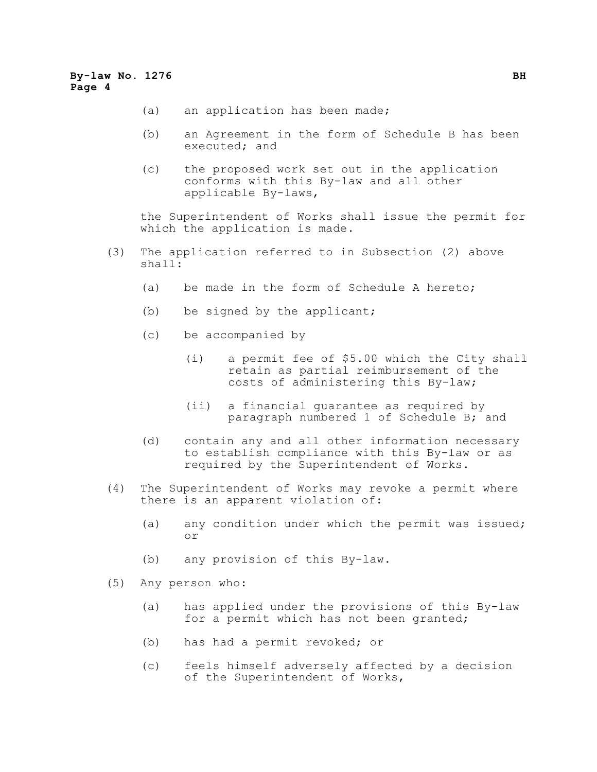- (a) an application has been made;
- (b) an Agreement in the form of Schedule B has been executed; and
- (c) the proposed work set out in the application conforms with this By-law and all other applicable By-laws,

the Superintendent of Works shall issue the permit for which the application is made.

- (3) The application referred to in Subsection (2) above shall:
	- (a) be made in the form of Schedule A hereto;
	- (b) be signed by the applicant;
	- (c) be accompanied by
		- (i) a permit fee of \$5.00 which the City shall retain as partial reimbursement of the costs of administering this By-law;
		- (ii) a financial guarantee as required by paragraph numbered 1 of Schedule B; and
	- (d) contain any and all other information necessary to establish compliance with this By-law or as required by the Superintendent of Works.
- (4) The Superintendent of Works may revoke a permit where there is an apparent violation of:
	- (a) any condition under which the permit was issued; or
	- (b) any provision of this By-law.
- (5) Any person who:
	- (a) has applied under the provisions of this By-law for a permit which has not been granted;
	- (b) has had a permit revoked; or
	- (c) feels himself adversely affected by a decision of the Superintendent of Works,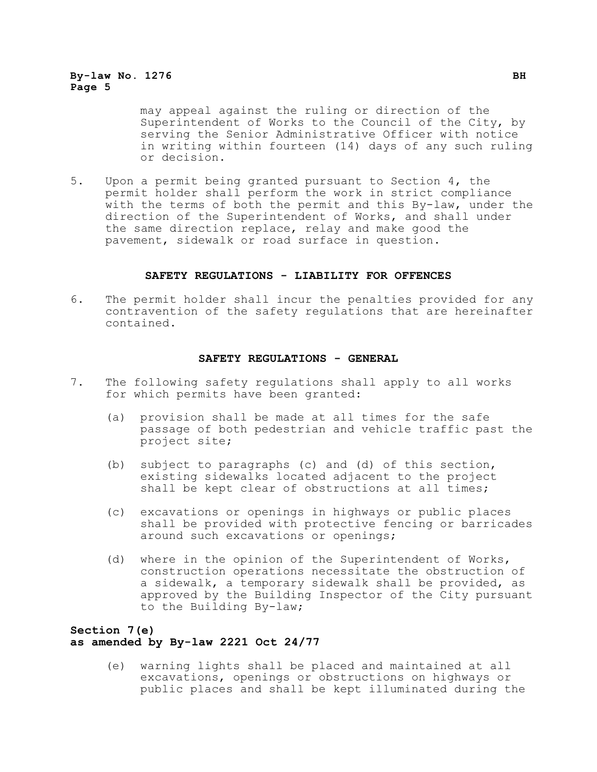may appeal against the ruling or direction of the Superintendent of Works to the Council of the City, by serving the Senior Administrative Officer with notice in writing within fourteen (14) days of any such ruling or decision.

5. Upon a permit being granted pursuant to Section 4, the permit holder shall perform the work in strict compliance with the terms of both the permit and this By-law, under the direction of the Superintendent of Works, and shall under the same direction replace, relay and make good the pavement, sidewalk or road surface in question.

#### **SAFETY REGULATIONS - LIABILITY FOR OFFENCES**

6. The permit holder shall incur the penalties provided for any contravention of the safety regulations that are hereinafter contained.

#### **SAFETY REGULATIONS - GENERAL**

- 7. The following safety regulations shall apply to all works for which permits have been granted:
	- (a) provision shall be made at all times for the safe passage of both pedestrian and vehicle traffic past the project site;
	- (b) subject to paragraphs (c) and (d) of this section, existing sidewalks located adjacent to the project shall be kept clear of obstructions at all times;
	- (c) excavations or openings in highways or public places shall be provided with protective fencing or barricades around such excavations or openings;
	- (d) where in the opinion of the Superintendent of Works, construction operations necessitate the obstruction of a sidewalk, a temporary sidewalk shall be provided, as approved by the Building Inspector of the City pursuant to the Building By-law;

# **Section 7(e) as amended by By-law 2221 Oct 24/77**

(e) warning lights shall be placed and maintained at all excavations, openings or obstructions on highways or public places and shall be kept illuminated during the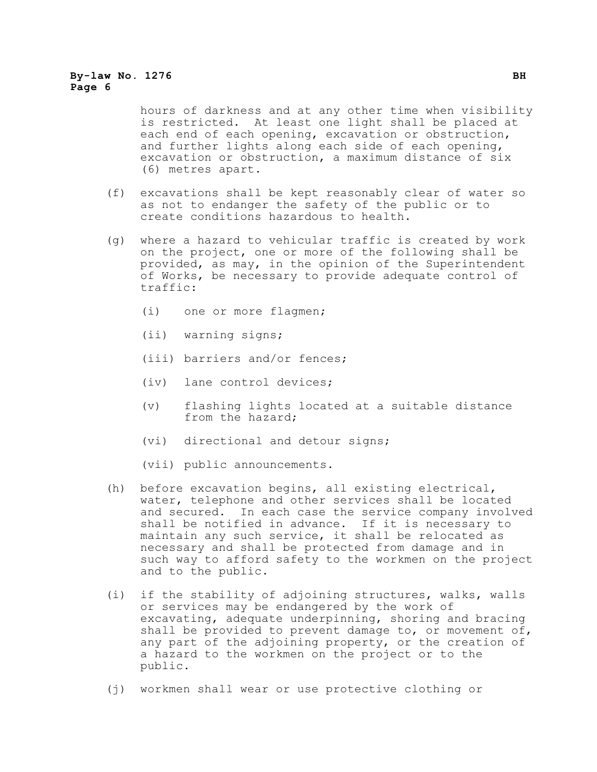hours of darkness and at any other time when visibility is restricted. At least one light shall be placed at each end of each opening, excavation or obstruction, and further lights along each side of each opening, excavation or obstruction, a maximum distance of six (6) metres apart.

- (f) excavations shall be kept reasonably clear of water so as not to endanger the safety of the public or to create conditions hazardous to health.
- (g) where a hazard to vehicular traffic is created by work on the project, one or more of the following shall be provided, as may, in the opinion of the Superintendent of Works, be necessary to provide adequate control of traffic:
	- (i) one or more flagmen;
	- (ii) warning signs;
	- (iii) barriers and/or fences;
	- (iv) lane control devices;
	- (v) flashing lights located at a suitable distance from the hazard;
	- (vi) directional and detour signs;
	- (vii) public announcements.
- (h) before excavation begins, all existing electrical, water, telephone and other services shall be located and secured. In each case the service company involved shall be notified in advance. If it is necessary to maintain any such service, it shall be relocated as necessary and shall be protected from damage and in such way to afford safety to the workmen on the project and to the public.
- (i) if the stability of adjoining structures, walks, walls or services may be endangered by the work of excavating, adequate underpinning, shoring and bracing shall be provided to prevent damage to, or movement of, any part of the adjoining property, or the creation of a hazard to the workmen on the project or to the public.
- (j) workmen shall wear or use protective clothing or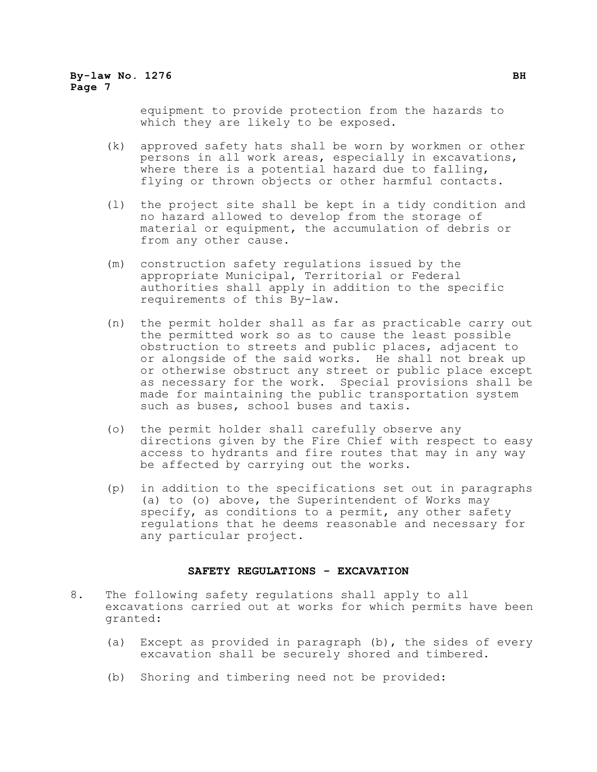equipment to provide protection from the hazards to which they are likely to be exposed.

- (k) approved safety hats shall be worn by workmen or other persons in all work areas, especially in excavations, where there is a potential hazard due to falling, flying or thrown objects or other harmful contacts.
- (l) the project site shall be kept in a tidy condition and no hazard allowed to develop from the storage of material or equipment, the accumulation of debris or from any other cause.
- (m) construction safety regulations issued by the appropriate Municipal, Territorial or Federal authorities shall apply in addition to the specific requirements of this By-law.
- (n) the permit holder shall as far as practicable carry out the permitted work so as to cause the least possible obstruction to streets and public places, adjacent to or alongside of the said works. He shall not break up or otherwise obstruct any street or public place except as necessary for the work. Special provisions shall be made for maintaining the public transportation system such as buses, school buses and taxis.
- (o) the permit holder shall carefully observe any directions given by the Fire Chief with respect to easy access to hydrants and fire routes that may in any way be affected by carrying out the works.
- (p) in addition to the specifications set out in paragraphs (a) to (o) above, the Superintendent of Works may specify, as conditions to a permit, any other safety regulations that he deems reasonable and necessary for any particular project.

#### **SAFETY REGULATIONS - EXCAVATION**

- 8. The following safety regulations shall apply to all excavations carried out at works for which permits have been granted:
	- (a) Except as provided in paragraph (b), the sides of every excavation shall be securely shored and timbered.
	- (b) Shoring and timbering need not be provided: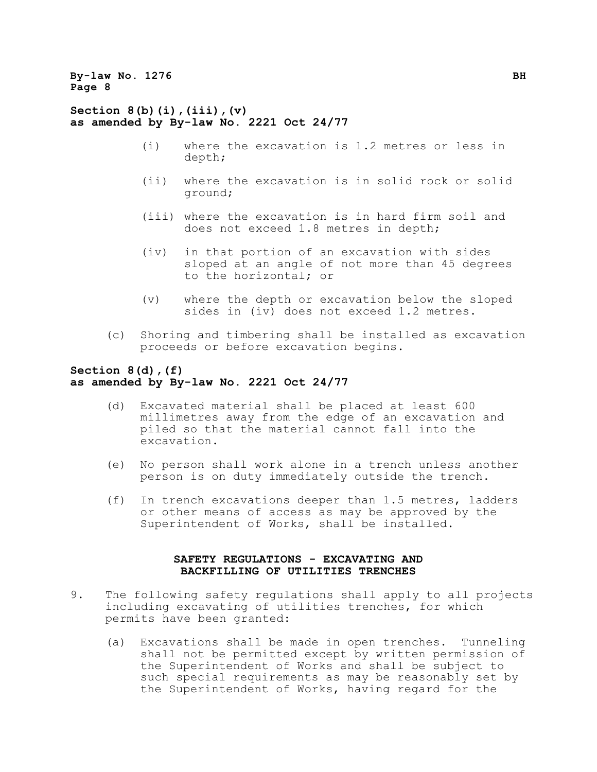**Section 8(b)(i),(iii),(v) as amended by By-law No. 2221 Oct 24/77**

- (i) where the excavation is 1.2 metres or less in depth;
- (ii) where the excavation is in solid rock or solid ground;
- (iii) where the excavation is in hard firm soil and does not exceed 1.8 metres in depth;
- (iv) in that portion of an excavation with sides sloped at an angle of not more than 45 degrees to the horizontal; or
- (v) where the depth or excavation below the sloped sides in (iv) does not exceed 1.2 metres.
- (c) Shoring and timbering shall be installed as excavation proceeds or before excavation begins.

#### **Section 8(d),(f) as amended by By-law No. 2221 Oct 24/77**

- (d) Excavated material shall be placed at least 600 millimetres away from the edge of an excavation and piled so that the material cannot fall into the excavation.
- (e) No person shall work alone in a trench unless another person is on duty immediately outside the trench.
- (f) In trench excavations deeper than 1.5 metres, ladders or other means of access as may be approved by the Superintendent of Works, shall be installed.

## **SAFETY REGULATIONS - EXCAVATING AND BACKFILLING OF UTILITIES TRENCHES**

- 9. The following safety regulations shall apply to all projects including excavating of utilities trenches, for which permits have been granted:
	- (a) Excavations shall be made in open trenches. Tunneling shall not be permitted except by written permission of the Superintendent of Works and shall be subject to such special requirements as may be reasonably set by the Superintendent of Works, having regard for the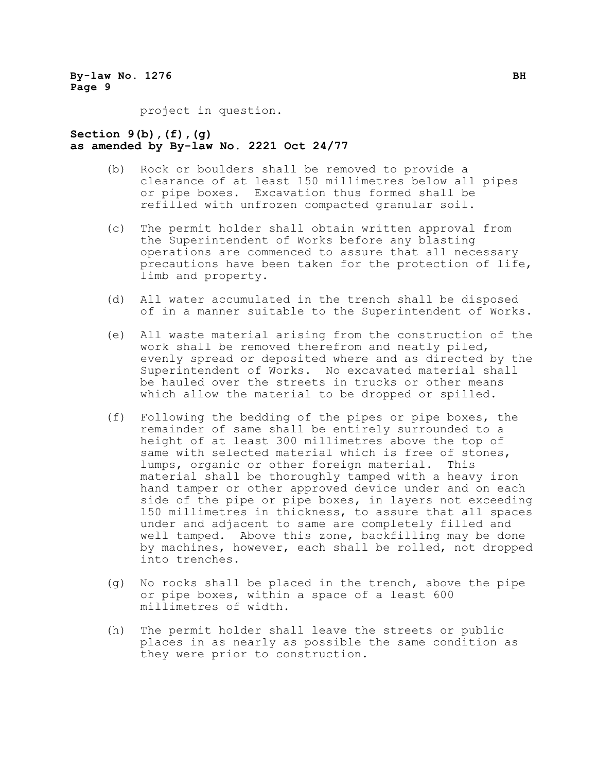project in question.

#### **Section 9(b),(f),(g) as amended by By-law No. 2221 Oct 24/77**

- (b) Rock or boulders shall be removed to provide a clearance of at least 150 millimetres below all pipes or pipe boxes. Excavation thus formed shall be refilled with unfrozen compacted granular soil.
- (c) The permit holder shall obtain written approval from the Superintendent of Works before any blasting operations are commenced to assure that all necessary precautions have been taken for the protection of life, limb and property.
- (d) All water accumulated in the trench shall be disposed of in a manner suitable to the Superintendent of Works.
- (e) All waste material arising from the construction of the work shall be removed therefrom and neatly piled, evenly spread or deposited where and as directed by the Superintendent of Works. No excavated material shall be hauled over the streets in trucks or other means which allow the material to be dropped or spilled.
- (f) Following the bedding of the pipes or pipe boxes, the remainder of same shall be entirely surrounded to a height of at least 300 millimetres above the top of same with selected material which is free of stones, lumps, organic or other foreign material. This material shall be thoroughly tamped with a heavy iron hand tamper or other approved device under and on each side of the pipe or pipe boxes, in layers not exceeding 150 millimetres in thickness, to assure that all spaces under and adjacent to same are completely filled and well tamped. Above this zone, backfilling may be done by machines, however, each shall be rolled, not dropped into trenches.
- (g) No rocks shall be placed in the trench, above the pipe or pipe boxes, within a space of a least 600 millimetres of width.
- (h) The permit holder shall leave the streets or public places in as nearly as possible the same condition as they were prior to construction.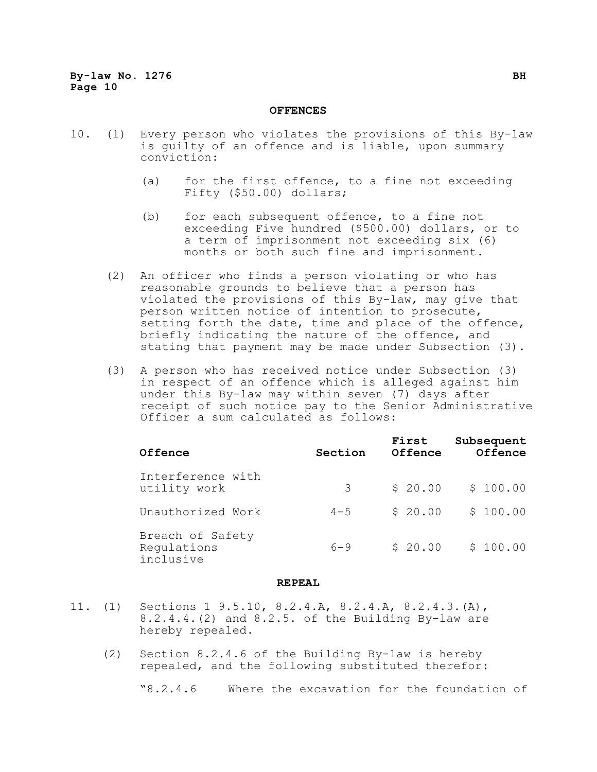#### **OFFENCES**

- 10. (1) Every person who violates the provisions of this By-law is guilty of an offence and is liable, upon summary conviction:
	- (a) for the first offence, to a fine not exceeding Fifty (\$50.00) dollars;
	- (b) for each subsequent offence, to a fine not exceeding Five hundred (\$500.00) dollars, or to a term of imprisonment not exceeding six (6) months or both such fine and imprisonment.
	- (2) An officer who finds a person violating or who has reasonable grounds to believe that a person has violated the provisions of this By-law, may give that person written notice of intention to prosecute, setting forth the date, time and place of the offence, briefly indicating the nature of the offence, and stating that payment may be made under Subsection (3).
	- (3) A person who has received notice under Subsection (3) in respect of an offence which is alleged against him under this By-law may within seven (7) days after receipt of such notice pay to the Senior Administrative Officer a sum calculated as follows:

| Offence                                      | Section | First<br>Offence | Subsequent<br>Offence |
|----------------------------------------------|---------|------------------|-----------------------|
| Interference with<br>utility work            | 3       | \$20.00          | \$100.00              |
| Unauthorized Work                            | $4 - 5$ | \$20.00          | \$100.00              |
| Breach of Safety<br>Requlations<br>inclusive | $6 - 9$ | \$20.00          | \$100.00              |

#### **REPEAL**

- 11. (1) Sections 1 9.5.10, 8.2.4.A, 8.2.4.A, 8.2.4.3.(A), 8.2.4.4.(2) and 8.2.5. of the Building By-law are hereby repealed.
	- (2) Section 8.2.4.6 of the Building By-law is hereby repealed, and the following substituted therefor:

"8.2.4.6 Where the excavation for the foundation of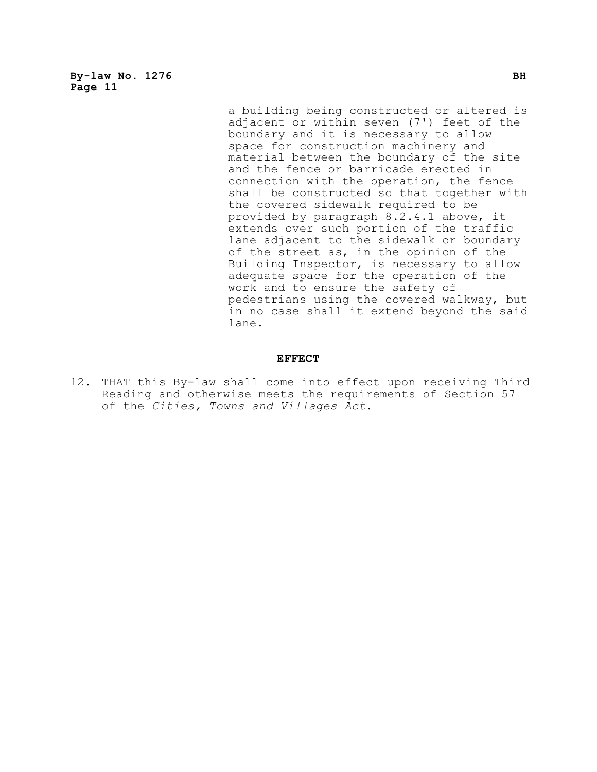> a building being constructed or altered is adjacent or within seven (7') feet of the boundary and it is necessary to allow space for construction machinery and material between the boundary of the site and the fence or barricade erected in connection with the operation, the fence shall be constructed so that together with the covered sidewalk required to be provided by paragraph 8.2.4.1 above, it extends over such portion of the traffic lane adjacent to the sidewalk or boundary of the street as, in the opinion of the Building Inspector, is necessary to allow adequate space for the operation of the work and to ensure the safety of pedestrians using the covered walkway, but in no case shall it extend beyond the said lane.

#### **EFFECT**

12. THAT this By-law shall come into effect upon receiving Third Reading and otherwise meets the requirements of Section 57 of the *Cities, Towns and Villages Act*.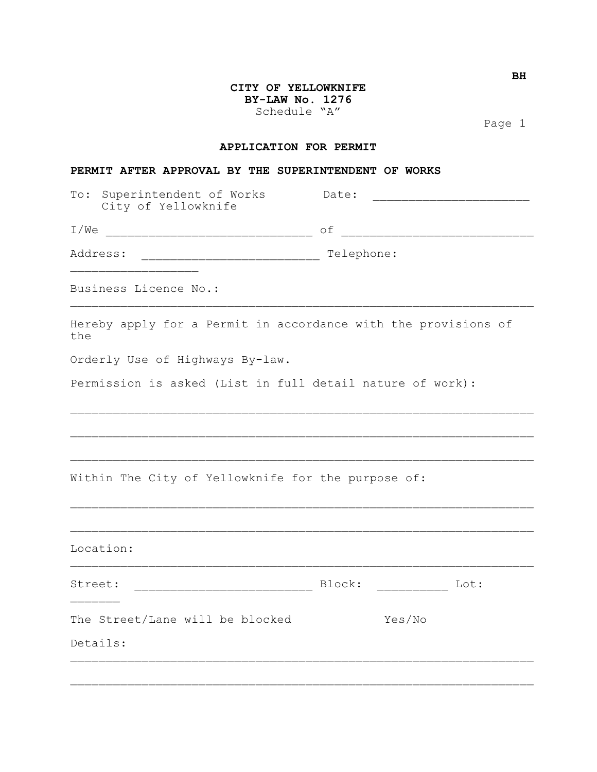# **CITY OF YELLOWKNIFE BY-LAW No. 1276** Schedule "A"

Page 1

# **APPLICATION FOR PERMIT**

#### **PERMIT AFTER APPROVAL BY THE SUPERINTENDENT OF WORKS**

| To: Superintendent of Works<br>City of Yellowknife                    | Date:<br><u> 1980 - Jan Bernard Bernard Bernard Bernard Bernard Bernard Bernard Bernard Bernard Bernard Bernard Bernard B</u> |  |
|-----------------------------------------------------------------------|-------------------------------------------------------------------------------------------------------------------------------|--|
|                                                                       |                                                                                                                               |  |
| Address:                                                              | Telephone:                                                                                                                    |  |
| Business Licence No.:                                                 |                                                                                                                               |  |
| Hereby apply for a Permit in accordance with the provisions of<br>the |                                                                                                                               |  |
| Orderly Use of Highways By-law.                                       |                                                                                                                               |  |
| Permission is asked (List in full detail nature of work):             |                                                                                                                               |  |
|                                                                       |                                                                                                                               |  |
|                                                                       |                                                                                                                               |  |
| Within The City of Yellowknife for the purpose of:                    |                                                                                                                               |  |
|                                                                       |                                                                                                                               |  |
| Location:                                                             |                                                                                                                               |  |
| Street:                                                               |                                                                                                                               |  |
| The Street/Lane will be blocked                                       | Yes/No                                                                                                                        |  |
| Details:                                                              |                                                                                                                               |  |
|                                                                       |                                                                                                                               |  |

**BH**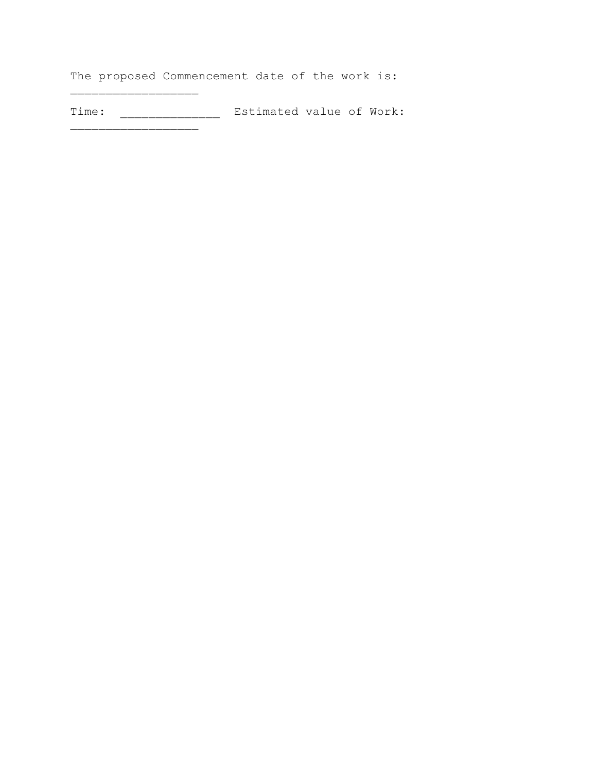The proposed Commencement date of the work is:

 $\overline{\phantom{a}}$ 

\_\_\_\_\_\_\_\_\_\_\_\_\_\_\_\_\_\_

Time: \_\_\_\_\_\_\_\_\_\_\_\_\_\_ Estimated value of Work: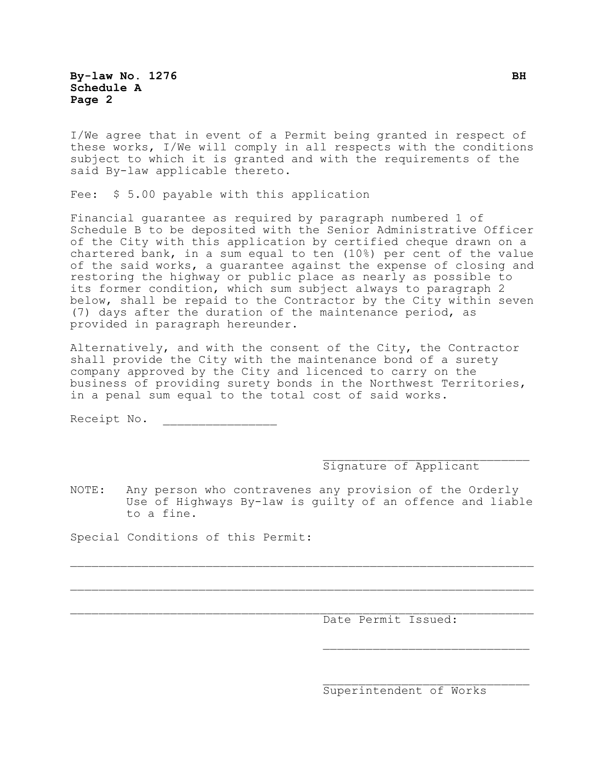**By-law No. 1276** BH **Schedule A Page 2**

I/We agree that in event of a Permit being granted in respect of these works, I/We will comply in all respects with the conditions subject to which it is granted and with the requirements of the said By-law applicable thereto.

Fee: \$ 5.00 payable with this application

Financial guarantee as required by paragraph numbered 1 of Schedule B to be deposited with the Senior Administrative Officer of the City with this application by certified cheque drawn on a chartered bank, in a sum equal to ten (10%) per cent of the value of the said works, a guarantee against the expense of closing and restoring the highway or public place as nearly as possible to its former condition, which sum subject always to paragraph 2 below, shall be repaid to the Contractor by the City within seven (7) days after the duration of the maintenance period, as provided in paragraph hereunder.

Alternatively, and with the consent of the City, the Contractor shall provide the City with the maintenance bond of a surety company approved by the City and licenced to carry on the business of providing surety bonds in the Northwest Territories, in a penal sum equal to the total cost of said works.

Receipt No. \_\_\_\_\_\_\_\_\_\_\_\_\_\_\_\_

#### Signature of Applicant

 $\mathcal{L}_\text{max}$ 

NOTE: Any person who contravenes any provision of the Orderly Use of Highways By-law is guilty of an offence and liable to a fine.

 $\mathcal{L}_\text{max} = \mathcal{L}_\text{max} = \mathcal{L}_\text{max} = \mathcal{L}_\text{max} = \mathcal{L}_\text{max} = \mathcal{L}_\text{max} = \mathcal{L}_\text{max} = \mathcal{L}_\text{max} = \mathcal{L}_\text{max} = \mathcal{L}_\text{max} = \mathcal{L}_\text{max} = \mathcal{L}_\text{max} = \mathcal{L}_\text{max} = \mathcal{L}_\text{max} = \mathcal{L}_\text{max} = \mathcal{L}_\text{max} = \mathcal{L}_\text{max} = \mathcal{L}_\text{max} = \mathcal{$ 

 $\mathcal{L}_\text{max} = \mathcal{L}_\text{max} = \mathcal{L}_\text{max} = \mathcal{L}_\text{max} = \mathcal{L}_\text{max} = \mathcal{L}_\text{max} = \mathcal{L}_\text{max} = \mathcal{L}_\text{max} = \mathcal{L}_\text{max} = \mathcal{L}_\text{max} = \mathcal{L}_\text{max} = \mathcal{L}_\text{max} = \mathcal{L}_\text{max} = \mathcal{L}_\text{max} = \mathcal{L}_\text{max} = \mathcal{L}_\text{max} = \mathcal{L}_\text{max} = \mathcal{L}_\text{max} = \mathcal{$ 

Special Conditions of this Permit:

Date Permit Issued:

Superintendent of Works

 $\mathcal{L}_\text{max}$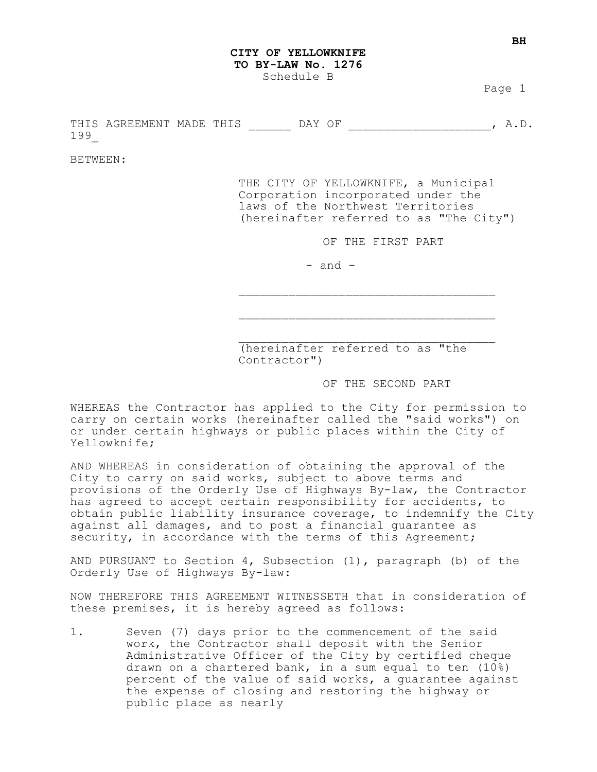#### **CITY OF YELLOWKNIFE TO BY-LAW No. 1276** Schedule B

Page 1

THIS AGREEMENT MADE THIS THE DAY OF THE MANUSIC MANUSIC MANUSIC MANUSIC MANUSIC MANUSIC MANUSIC MANUSIC MANUSI 199\_

BETWEEN:

THE CITY OF YELLOWKNIFE, a Municipal Corporation incorporated under the laws of the Northwest Territories (hereinafter referred to as "The City")

OF THE FIRST PART

 $-$  and  $-$ 

(hereinafter referred to as "the Contractor")

 $\mathcal{L}_\text{max}$ 

 $\mathcal{L}_\text{max}$ 

OF THE SECOND PART

WHEREAS the Contractor has applied to the City for permission to carry on certain works (hereinafter called the "said works") on or under certain highways or public places within the City of Yellowknife;

AND WHEREAS in consideration of obtaining the approval of the City to carry on said works, subject to above terms and provisions of the Orderly Use of Highways By-law, the Contractor has agreed to accept certain responsibility for accidents, to obtain public liability insurance coverage, to indemnify the City against all damages, and to post a financial guarantee as security, in accordance with the terms of this Agreement;

AND PURSUANT to Section 4, Subsection  $(1)$ , paragraph  $(b)$  of the Orderly Use of Highways By-law:

NOW THEREFORE THIS AGREEMENT WITNESSETH that in consideration of these premises, it is hereby agreed as follows:

1. Seven (7) days prior to the commencement of the said work, the Contractor shall deposit with the Senior Administrative Officer of the City by certified cheque drawn on a chartered bank, in a sum equal to ten (10%) percent of the value of said works, a guarantee against the expense of closing and restoring the highway or public place as nearly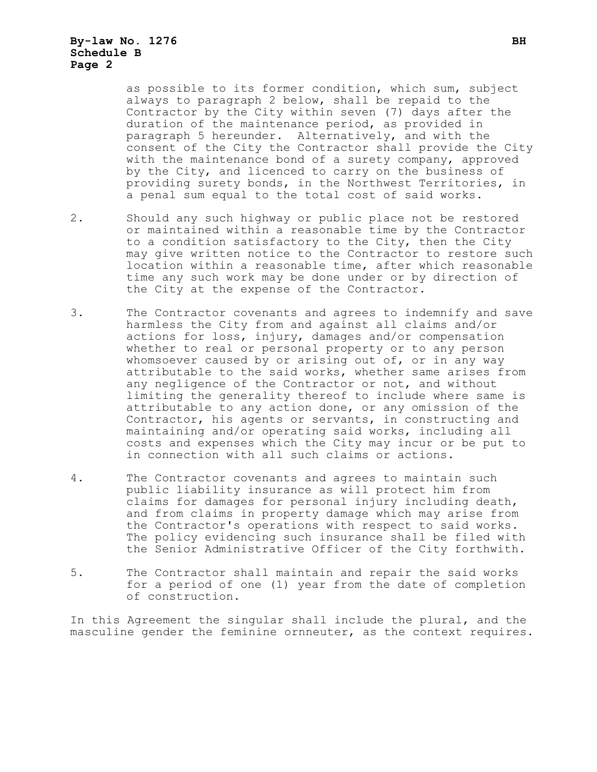# **By-law No. 1276 BH Schedule B Page 2**

as possible to its former condition, which sum, subject always to paragraph 2 below, shall be repaid to the Contractor by the City within seven (7) days after the duration of the maintenance period, as provided in paragraph 5 hereunder. Alternatively, and with the consent of the City the Contractor shall provide the City with the maintenance bond of a surety company, approved by the City, and licenced to carry on the business of providing surety bonds, in the Northwest Territories, in a penal sum equal to the total cost of said works.

- 2. Should any such highway or public place not be restored or maintained within a reasonable time by the Contractor to a condition satisfactory to the City, then the City may give written notice to the Contractor to restore such location within a reasonable time, after which reasonable time any such work may be done under or by direction of the City at the expense of the Contractor.
- 3. The Contractor covenants and agrees to indemnify and save harmless the City from and against all claims and/or actions for loss, injury, damages and/or compensation whether to real or personal property or to any person whomsoever caused by or arising out of, or in any way attributable to the said works, whether same arises from any negligence of the Contractor or not, and without limiting the generality thereof to include where same is attributable to any action done, or any omission of the Contractor, his agents or servants, in constructing and maintaining and/or operating said works, including all costs and expenses which the City may incur or be put to in connection with all such claims or actions.
- 4. The Contractor covenants and agrees to maintain such public liability insurance as will protect him from claims for damages for personal injury including death, and from claims in property damage which may arise from the Contractor's operations with respect to said works. The policy evidencing such insurance shall be filed with the Senior Administrative Officer of the City forthwith.
- 5. The Contractor shall maintain and repair the said works for a period of one (1) year from the date of completion of construction.

In this Agreement the singular shall include the plural, and the masculine gender the feminine ornneuter, as the context requires.